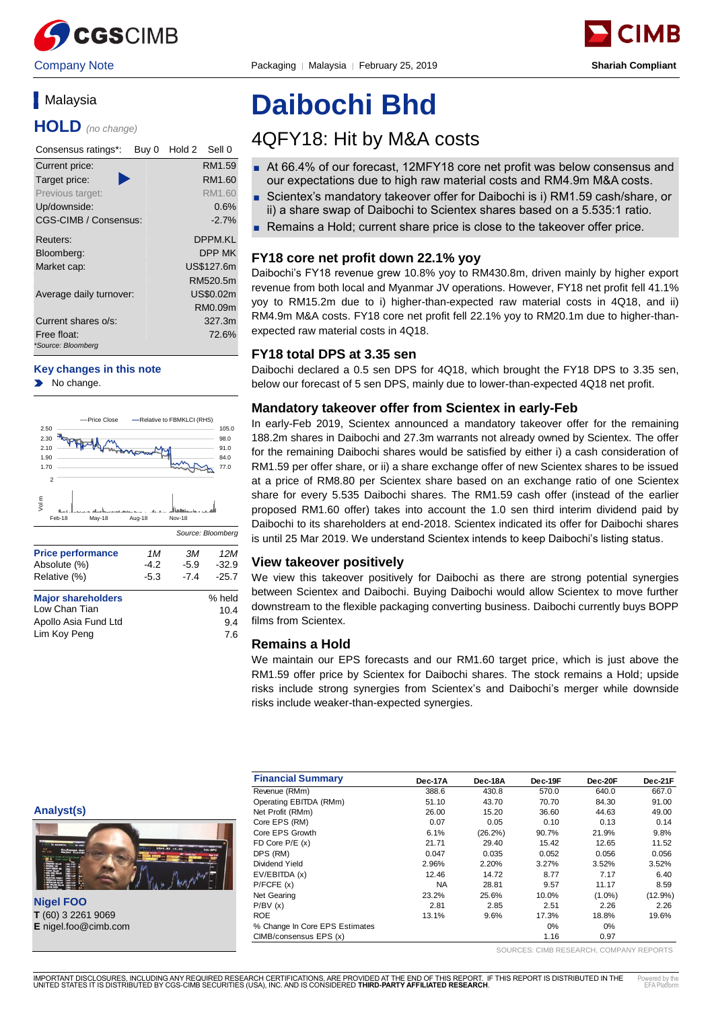

Company Note Packaging │ Malaysia │ February 25, 2019 **Shariah Compliant**



# **Malaysia**

**HOLD** *(no change)*

| Consensus ratings*:<br>Buy 0 | Hold 2<br>Sell 0 |
|------------------------------|------------------|
| Current price:               | RM1.59           |
| Target price:                | RM1.60           |
| Previous target:             | RM1.60           |
| Up/downside:                 | 0.6%             |
| CGS-CIMB / Consensus:        | $-2.7%$          |
| Reuters:                     | DPPM.KI          |
| Bloomberg:                   | DPP MK           |
| Market cap:                  | US\$127.6m       |
|                              | RM520.5m         |
| Average daily turnover:      | US\$0.02m        |
|                              | RM0.09m          |
| Current shares o/s:          | 327.3m           |
| Free float:                  | 72.6%            |
| *Source: Bloomberg           |                  |

#### **Key changes in this note**

No change.  $\blacktriangleright$ 



# **Daibochi Bhd**

# 4QFY18: Hit by M&A costs

- At 66.4% of our forecast, 12MFY18 core net profit was below consensus and our expectations due to high raw material costs and RM4.9m M&A costs.
- Scientex's mandatory takeover offer for Daibochi is i) RM1.59 cash/share, or ii) a share swap of Daibochi to Scientex shares based on a 5.535:1 ratio.
- Remains a Hold; current share price is close to the takeover offer price.

# **FY18 core net profit down 22.1% yoy**

Daibochi's FY18 revenue grew 10.8% yoy to RM430.8m, driven mainly by higher export revenue from both local and Myanmar JV operations. However, FY18 net profit fell 41.1% yoy to RM15.2m due to i) higher-than-expected raw material costs in 4Q18, and ii) RM4.9m M&A costs. FY18 core net profit fell 22.1% yoy to RM20.1m due to higher-thanexpected raw material costs in 4Q18.

### **FY18 total DPS at 3.35 sen**

Daibochi declared a 0.5 sen DPS for 4Q18, which brought the FY18 DPS to 3.35 sen, below our forecast of 5 sen DPS, mainly due to lower-than-expected 4Q18 net profit.

### **Mandatory takeover offer from Scientex in early-Feb**

In early-Feb 2019, Scientex announced a mandatory takeover offer for the remaining 188.2m shares in Daibochi and 27.3m warrants not already owned by Scientex. The offer for the remaining Daibochi shares would be satisfied by either i) a cash consideration of RM1.59 per offer share, or ii) a share exchange offer of new Scientex shares to be issued at a price of RM8.80 per Scientex share based on an exchange ratio of one Scientex share for every 5.535 Daibochi shares. The RM1.59 cash offer (instead of the earlier proposed RM1.60 offer) takes into account the 1.0 sen third interim dividend paid by Daibochi to its shareholders at end-2018. Scientex indicated its offer for Daibochi shares is until 25 Mar 2019. We understand Scientex intends to keep Daibochi's listing status.

# **View takeover positively**

We view this takeover positively for Daibochi as there are strong potential synergies between Scientex and Daibochi. Buying Daibochi would allow Scientex to move further downstream to the flexible packaging converting business. Daibochi currently buys BOPP films from Scientex.

# **Remains a Hold**

We maintain our EPS forecasts and our RM1.60 target price, which is just above the RM1.59 offer price by Scientex for Daibochi shares. The stock remains a Hold; upside risks include strong synergies from Scientex's and Daibochi's merger while downside risks include weaker-than-expected synergies.

| <b>Analyst(s)</b> |  |
|-------------------|--|
|                   |  |



**Nigel FOO T** (60) 3 2261 9069

|                                                                   | <b>Financial Summary</b>       | Dec-17A   | Dec-18A    | Dec-19F | Dec-20F   | Dec-21F |
|-------------------------------------------------------------------|--------------------------------|-----------|------------|---------|-----------|---------|
|                                                                   | Revenue (RMm)                  | 388.6     | 430.8      | 570.0   | 640.0     | 667.0   |
|                                                                   | Operating EBITDA (RMm)         | 51.10     | 43.70      | 70.70   | 84.30     | 91.00   |
| Analyst(s)                                                        | Net Profit (RMm)               | 26.00     | 15.20      | 36.60   | 44.63     | 49.00   |
|                                                                   | Core EPS (RM)                  | 0.07      | 0.05       | 0.10    | 0.13      | 0.14    |
|                                                                   | Core EPS Growth                | 6.1%      | $(26.2\%)$ | 90.7%   | 21.9%     | 9.8%    |
| for automotion, come for stati                                    | $FD$ Core $P/E$ (x)            | 21.71     | 29.40      | 15.42   | 12.65     | 11.52   |
| 1564.81 +4.02<br><b>New Corp.</b><br>Exchange Rat<br>Hajor Currer | DPS (RM)                       | 0.047     | 0.035      | 0.052   | 0.056     | 0.056   |
|                                                                   | Dividend Yield                 | 2.96%     | 2.20%      | 3.27%   | 3.52%     | 3.52%   |
|                                                                   | EV/EBITDA (x)                  | 12.46     | 14.72      | 8.77    | 7.17      | 6.40    |
|                                                                   | P/FCFE(x)                      | <b>NA</b> | 28.81      | 9.57    | 11.17     | 8.59    |
|                                                                   | Net Gearing                    | 23.2%     | 25.6%      | 10.0%   | $(1.0\%)$ | (12.9%) |
| <b>Nigel FOO</b>                                                  | P/BV(x)                        | 2.81      | 2.85       | 2.51    | 2.26      | 2.26    |
| T (60) 3 2261 9069                                                | <b>ROE</b>                     | 13.1%     | 9.6%       | 17.3%   | 18.8%     | 19.6%   |
| E nigel.foo@cimb.com                                              | % Change In Core EPS Estimates |           |            | 0%      | 0%        |         |
|                                                                   | CIMB/consensus EPS (x)         |           |            | 1.16    | 0.97      |         |

SOURCES: CIMB RESEARCH, COMPANY REPORTS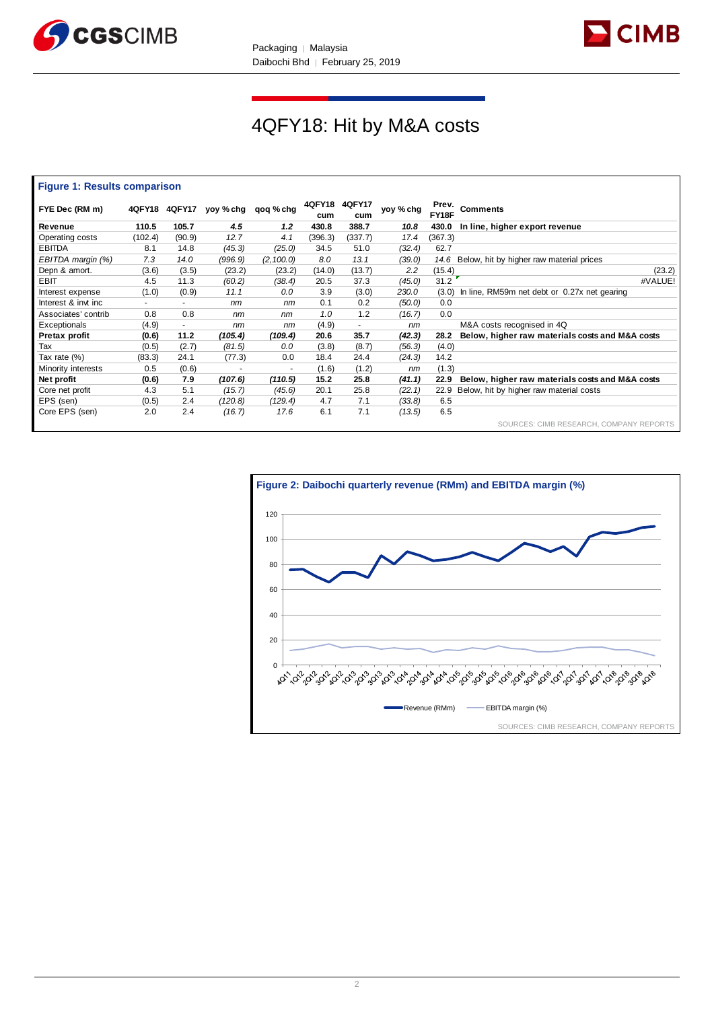



# 4QFY18: Hit by M&A costs

#### **Figure 1: Results comparison**

| FYE Dec (RM m)      |         | 4QFY18 4QFY17            |         | yoy % chg qoq % chg | 4QFY18<br>cum | <b>4QFY17</b><br>cum     | yoy % cha | Prev.<br>FY18F | <b>Comments</b>                                 |
|---------------------|---------|--------------------------|---------|---------------------|---------------|--------------------------|-----------|----------------|-------------------------------------------------|
| Revenue             | 110.5   | 105.7                    | 4.5     | 1.2                 | 430.8         | 388.7                    | 10.8      | 430.0          | In line, higher export revenue                  |
| Operating costs     | (102.4) | (90.9)                   | 12.7    | 4.1                 | (396.3)       | (337.7)                  | 17.4      | (367.3)        |                                                 |
| <b>EBITDA</b>       | 8.1     | 14.8                     | (45.3)  | (25.0)              | 34.5          | 51.0                     | (32.4)    | 62.7           |                                                 |
| EBITDA margin (%)   | 7.3     | 14.0                     | (996.9) | (2, 100.0)          | 8.0           | 13.1                     | (39.0)    | 14.6           | Below, hit by higher raw material prices        |
| Depn & amort.       | (3.6)   | (3.5)                    | (23.2)  | (23.2)              | (14.0)        | (13.7)                   | 2.2       | (15.4)         | (23.2)                                          |
| <b>EBIT</b>         | 4.5     | 11.3                     | (60.2)  | (38.4)              | 20.5          | 37.3                     | (45.0)    | 31.2           | #VALUE!                                         |
| Interest expense    | (1.0)   | (0.9)                    | 11.1    | 0.0                 | 3.9           | (3.0)                    | 230.0     | (3.0)          | In line, RM59m net debt or 0.27x net gearing    |
| Interest & invt inc | ۰.      | $\sim$                   | nm      | nm                  | 0.1           | 0.2                      | (50.0)    | 0.0            |                                                 |
| Associates' contrib | 0.8     | 0.8                      | nm      | nm                  | 1.0           | 1.2                      | (16.7)    | 0.0            |                                                 |
| Exceptionals        | (4.9)   | $\overline{\phantom{a}}$ | nm      | nm                  | (4.9)         | $\overline{\phantom{a}}$ | nm        |                | M&A costs recognised in 4Q                      |
| Pretax profit       | (0.6)   | 11.2                     | (105.4) | (109.4)             | 20.6          | 35.7                     | (42.3)    | 28.2           | Below, higher raw materials costs and M&A costs |
| Tax                 | (0.5)   | (2.7)                    | (81.5)  | 0.0                 | (3.8)         | (8.7)                    | (56.3)    | (4.0)          |                                                 |
| Tax rate (%)        | (83.3)  | 24.1                     | (77.3)  | 0.0                 | 18.4          | 24.4                     | (24.3)    | 14.2           |                                                 |
| Minority interests  | 0.5     | (0.6)                    |         | $\sim$              | (1.6)         | (1.2)                    | nm        | (1.3)          |                                                 |
| Net profit          | (0.6)   | 7.9                      | (107.6) | (110.5)             | 15.2          | 25.8                     | (41.1)    | 22.9           | Below, higher raw materials costs and M&A costs |
| Core net profit     | 4.3     | 5.1                      | (15.7)  | (45.6)              | 20.1          | 25.8                     | (22.1)    | 22.9           | Below, hit by higher raw material costs         |
| EPS (sen)           | (0.5)   | 2.4                      | (120.8) | (129.4)             | 4.7           | 7.1                      | (33.8)    | 6.5            |                                                 |
| Core EPS (sen)      | 2.0     | 2.4                      | (16.7)  | 17.6                | 6.1           | 7.1                      | (13.5)    | 6.5            |                                                 |
|                     |         |                          |         |                     |               |                          |           |                | SOURCES: CIMB RESEARCH, COMPANY REPORTS         |

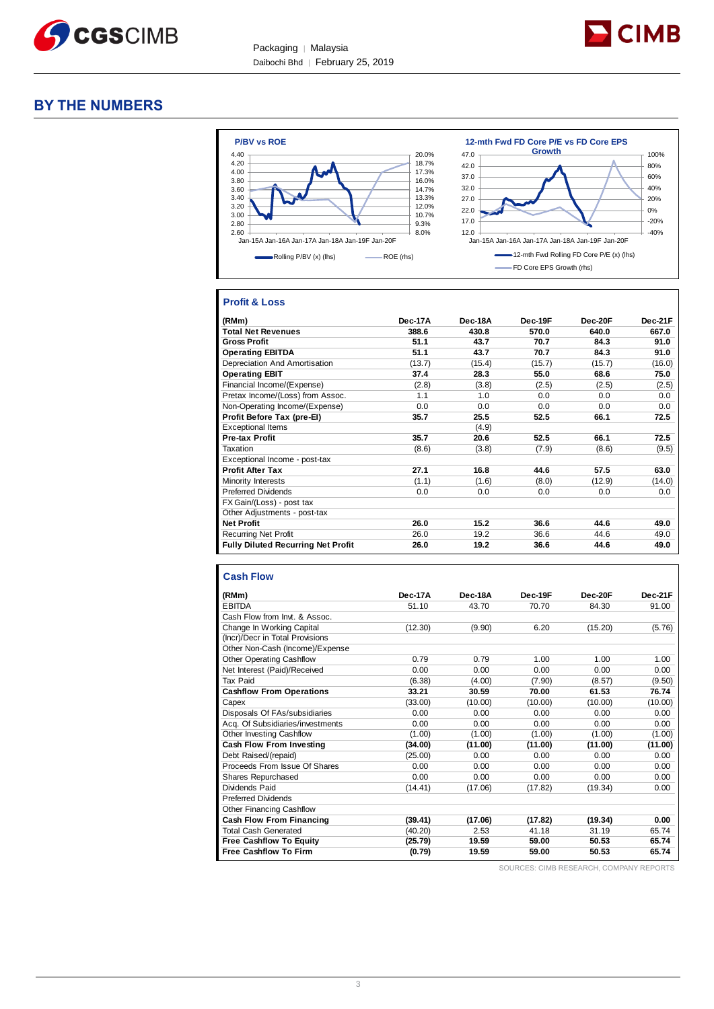



# **BY THE NUMBERS**



# **Profit & Loss**

| (RMm)                                     | Dec-17A | Dec-18A | Dec-19F | Dec-20F | Dec-21F |
|-------------------------------------------|---------|---------|---------|---------|---------|
| <b>Total Net Revenues</b>                 | 388.6   | 430.8   | 570.0   | 640.0   | 667.0   |
| <b>Gross Profit</b>                       | 51.1    | 43.7    | 70.7    | 84.3    | 91.0    |
| <b>Operating EBITDA</b>                   | 51.1    | 43.7    | 70.7    | 84.3    | 91.0    |
| Depreciation And Amortisation             | (13.7)  | (15.4)  | (15.7)  | (15.7)  | (16.0)  |
| <b>Operating EBIT</b>                     | 37.4    | 28.3    | 55.0    | 68.6    | 75.0    |
| Financial Income/(Expense)                | (2.8)   | (3.8)   | (2.5)   | (2.5)   | (2.5)   |
| Pretax Income/(Loss) from Assoc.          | 1.1     | 1.0     | 0.0     | 0.0     | 0.0     |
| Non-Operating Income/(Expense)            | 0.0     | 0.0     | 0.0     | 0.0     | 0.0     |
| Profit Before Tax (pre-El)                | 35.7    | 25.5    | 52.5    | 66.1    | 72.5    |
| <b>Exceptional Items</b>                  |         | (4.9)   |         |         |         |
| <b>Pre-tax Profit</b>                     | 35.7    | 20.6    | 52.5    | 66.1    | 72.5    |
| Taxation                                  | (8.6)   | (3.8)   | (7.9)   | (8.6)   | (9.5)   |
| Exceptional Income - post-tax             |         |         |         |         |         |
| <b>Profit After Tax</b>                   | 27.1    | 16.8    | 44.6    | 57.5    | 63.0    |
| Minority Interests                        | (1.1)   | (1.6)   | (8.0)   | (12.9)  | (14.0)  |
| <b>Preferred Dividends</b>                | 0.0     | 0.0     | 0.0     | 0.0     | 0.0     |
| FX Gain/(Loss) - post tax                 |         |         |         |         |         |
| Other Adjustments - post-tax              |         |         |         |         |         |
| <b>Net Profit</b>                         | 26.0    | 15.2    | 36.6    | 44.6    | 49.0    |
| <b>Recurring Net Profit</b>               | 26.0    | 19.2    | 36.6    | 44.6    | 49.0    |
| <b>Fully Diluted Recurring Net Profit</b> | 26.0    | 19.2    | 36.6    | 44.6    | 49.0    |

### **Cash Flow**

| (RMm)                            | Dec-17A | Dec-18A | Dec-19F | Dec-20F | Dec-21F |
|----------------------------------|---------|---------|---------|---------|---------|
| <b>EBITDA</b>                    | 51.10   | 43.70   | 70.70   | 84.30   | 91.00   |
| Cash Flow from Invt. & Assoc.    |         |         |         |         |         |
| Change In Working Capital        | (12.30) | (9.90)  | 6.20    | (15.20) | (5.76)  |
| (Incr)/Decr in Total Provisions  |         |         |         |         |         |
| Other Non-Cash (Income)/Expense  |         |         |         |         |         |
| <b>Other Operating Cashflow</b>  | 0.79    | 0.79    | 1.00    | 1.00    | 1.00    |
| Net Interest (Paid)/Received     | 0.00    | 0.00    | 0.00    | 0.00    | 0.00    |
| Tax Paid                         | (6.38)  | (4.00)  | (7.90)  | (8.57)  | (9.50)  |
| <b>Cashflow From Operations</b>  | 33.21   | 30.59   | 70.00   | 61.53   | 76.74   |
| Capex                            | (33.00) | (10.00) | (10.00) | (10.00) | (10.00) |
| Disposals Of FAs/subsidiaries    | 0.00    | 0.00    | 0.00    | 0.00    | 0.00    |
| Acq. Of Subsidiaries/investments | 0.00    | 0.00    | 0.00    | 0.00    | 0.00    |
| <b>Other Investing Cashflow</b>  | (1.00)  | (1.00)  | (1.00)  | (1.00)  | (1.00)  |
| Cash Flow From Investing         | (34.00) | (11.00) | (11.00) | (11.00) | (11.00) |
| Debt Raised/(repaid)             | (25.00) | 0.00    | 0.00    | 0.00    | 0.00    |
| Proceeds From Issue Of Shares    | 0.00    | 0.00    | 0.00    | 0.00    | 0.00    |
| <b>Shares Repurchased</b>        | 0.00    | 0.00    | 0.00    | 0.00    | 0.00    |
| Dividends Paid                   | (14.41) | (17.06) | (17.82) | (19.34) | 0.00    |
| <b>Preferred Dividends</b>       |         |         |         |         |         |
| <b>Other Financing Cashflow</b>  |         |         |         |         |         |
| <b>Cash Flow From Financing</b>  | (39.41) | (17.06) | (17.82) | (19.34) | 0.00    |
| <b>Total Cash Generated</b>      | (40.20) | 2.53    | 41.18   | 31.19   | 65.74   |
| <b>Free Cashflow To Equity</b>   | (25.79) | 19.59   | 59.00   | 50.53   | 65.74   |
| <b>Free Cashflow To Firm</b>     | (0.79)  | 19.59   | 59.00   | 50.53   | 65.74   |

SOURCES: CIMB RESEARCH, COMPANY REPORTS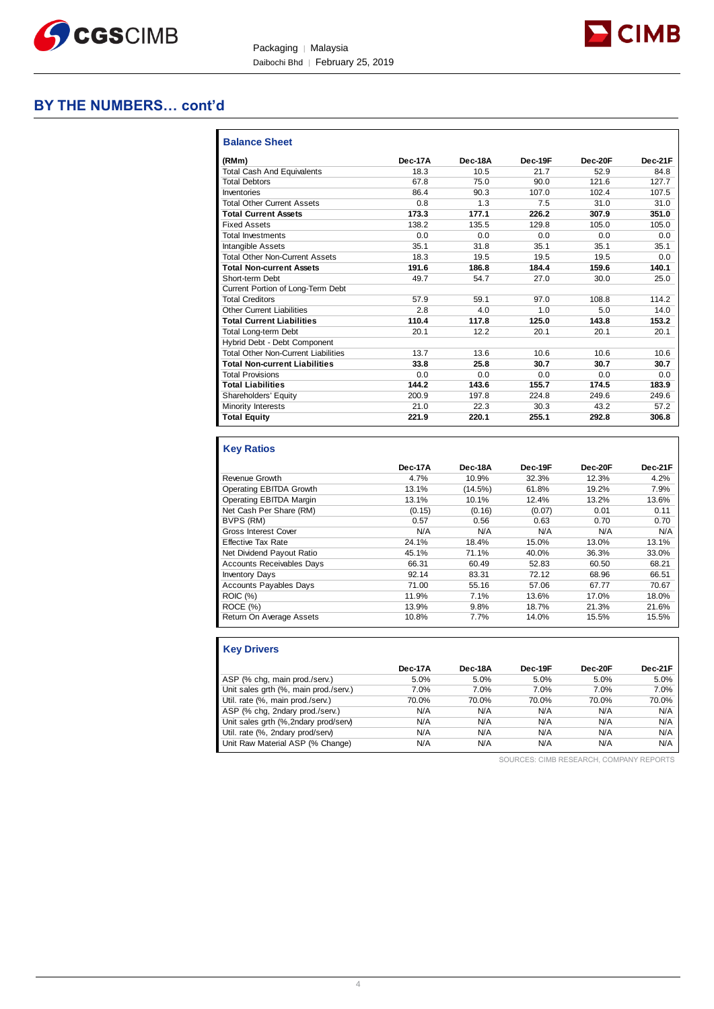



| <b>Balance Sheet</b>                       |         |         |         |         |         |
|--------------------------------------------|---------|---------|---------|---------|---------|
| (RMm)                                      | Dec-17A | Dec-18A | Dec-19F | Dec-20F | Dec-21F |
| <b>Total Cash And Equivalents</b>          | 18.3    | 10.5    | 21.7    | 52.9    | 84.8    |
| <b>Total Debtors</b>                       | 67.8    | 75.0    | 90.0    | 121.6   | 127.7   |
| Inventories                                | 86.4    | 90.3    | 107.0   | 102.4   | 107.5   |
| <b>Total Other Current Assets</b>          | 0.8     | 1.3     | 7.5     | 31.0    | 31.0    |
| <b>Total Current Assets</b>                | 173.3   | 177.1   | 226.2   | 307.9   | 351.0   |
| <b>Fixed Assets</b>                        | 138.2   | 135.5   | 129.8   | 105.0   | 105.0   |
| <b>Total Investments</b>                   | 0.0     | 0.0     | 0.0     | 0.0     | 0.0     |
| <b>Intangible Assets</b>                   | 35.1    | 31.8    | 35.1    | 35.1    | 35.1    |
| <b>Total Other Non-Current Assets</b>      | 18.3    | 19.5    | 19.5    | 19.5    | 0.0     |
| <b>Total Non-current Assets</b>            | 191.6   | 186.8   | 184.4   | 159.6   | 140.1   |
| Short-term Debt                            | 49.7    | 54.7    | 27.0    | 30.0    | 25.0    |
| Current Portion of Long-Term Debt          |         |         |         |         |         |
| <b>Total Creditors</b>                     | 57.9    | 59.1    | 97.0    | 108.8   | 114.2   |
| <b>Other Current Liabilities</b>           | 2.8     | 4.0     | 1.0     | 5.0     | 14.0    |
| <b>Total Current Liabilities</b>           | 110.4   | 117.8   | 125.0   | 143.8   | 153.2   |
| Total Long-term Debt                       | 20.1    | 12.2    | 20.1    | 20.1    | 20.1    |
| Hybrid Debt - Debt Component               |         |         |         |         |         |
| <b>Total Other Non-Current Liabilities</b> | 13.7    | 13.6    | 10.6    | 10.6    | 10.6    |
| <b>Total Non-current Liabilities</b>       | 33.8    | 25.8    | 30.7    | 30.7    | 30.7    |
| <b>Total Provisions</b>                    | 0.0     | 0.0     | 0.0     | 0.0     | 0.0     |
| <b>Total Liabilities</b>                   | 144.2   | 143.6   | 155.7   | 174.5   | 183.9   |
| Shareholders' Equity                       | 200.9   | 197.8   | 224.8   | 249.6   | 249.6   |
| Minority Interests                         | 21.0    | 22.3    | 30.3    | 43.2    | 57.2    |
| <b>Total Equity</b>                        | 221.9   | 220.1   | 255.1   | 292.8   | 306.8   |

# **Key Ratios**

|                                  | Dec-17A | Dec-18A | Dec-19F | Dec-20F | Dec-21F |
|----------------------------------|---------|---------|---------|---------|---------|
| Revenue Growth                   | 4.7%    | 10.9%   | 32.3%   | 12.3%   | 4.2%    |
| Operating EBITDA Growth          | 13.1%   | (14.5%) | 61.8%   | 19.2%   | 7.9%    |
| Operating EBITDA Margin          | 13.1%   | 10.1%   | 12.4%   | 13.2%   | 13.6%   |
| Net Cash Per Share (RM)          | (0.15)  | (0.16)  | (0.07)  | 0.01    | 0.11    |
| BVPS (RM)                        | 0.57    | 0.56    | 0.63    | 0.70    | 0.70    |
| <b>Gross Interest Cover</b>      | N/A     | N/A     | N/A     | N/A     | N/A     |
| <b>Effective Tax Rate</b>        | 24.1%   | 18.4%   | 15.0%   | 13.0%   | 13.1%   |
| Net Dividend Payout Ratio        | 45.1%   | 71.1%   | 40.0%   | 36.3%   | 33.0%   |
| <b>Accounts Receivables Days</b> | 66.31   | 60.49   | 52.83   | 60.50   | 68.21   |
| <b>Inventory Days</b>            | 92.14   | 83.31   | 72.12   | 68.96   | 66.51   |
| <b>Accounts Payables Days</b>    | 71.00   | 55.16   | 57.06   | 67.77   | 70.67   |
| <b>ROIC</b> (%)                  | 11.9%   | 7.1%    | 13.6%   | 17.0%   | 18.0%   |
| ROCE(%)                          | 13.9%   | 9.8%    | 18.7%   | 21.3%   | 21.6%   |
| Return On Average Assets         | 10.8%   | 7.7%    | 14.0%   | 15.5%   | 15.5%   |

| <b>Key Drivers</b>                    |         |         |         |         |         |
|---------------------------------------|---------|---------|---------|---------|---------|
|                                       | Dec-17A | Dec-18A | Dec-19F | Dec-20F | Dec-21F |
| ASP (% chg, main prod./serv.)         | 5.0%    | 5.0%    | 5.0%    | 5.0%    | 5.0%    |
| Unit sales grth (%, main prod./serv.) | 7.0%    | 7.0%    | 7.0%    | 7.0%    | 7.0%    |
| Util. rate (%, main prod./serv.)      | 70.0%   | 70.0%   | 70.0%   | 70.0%   | 70.0%   |
| ASP (% chg, 2ndary prod./serv.)       | N/A     | N/A     | N/A     | N/A     | N/A     |
| Unit sales grth (%, 2ndary prod/serv) | N/A     | N/A     | N/A     | N/A     | N/A     |
| Util. rate (%, 2ndary prod/serv)      | N/A     | N/A     | N/A     | N/A     | N/A     |
| Unit Raw Material ASP (% Change)      | N/A     | N/A     | N/A     | N/A     | N/A     |

SOURCES: CIMB RESEARCH, COMPANY REPORTS

**D** CIMB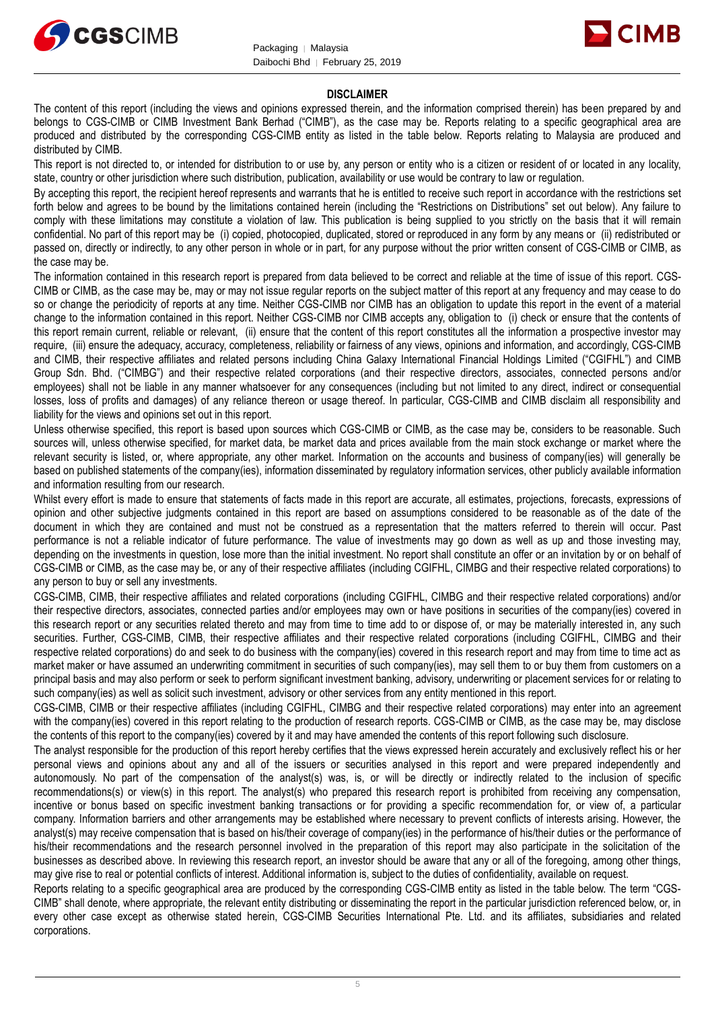



#### **DISCLAIMER**

The content of this report (including the views and opinions expressed therein, and the information comprised therein) has been prepared by and belongs to CGS-CIMB or CIMB Investment Bank Berhad ("CIMB"), as the case may be. Reports relating to a specific geographical area are produced and distributed by the corresponding CGS-CIMB entity as listed in the table below. Reports relating to Malaysia are produced and distributed by CIMB.

This report is not directed to, or intended for distribution to or use by, any person or entity who is a citizen or resident of or located in any locality, state, country or other jurisdiction where such distribution, publication, availability or use would be contrary to law or regulation.

By accepting this report, the recipient hereof represents and warrants that he is entitled to receive such report in accordance with the restrictions set forth below and agrees to be bound by the limitations contained herein (including the "Restrictions on Distributions" set out below). Any failure to comply with these limitations may constitute a violation of law. This publication is being supplied to you strictly on the basis that it will remain confidential. No part of this report may be (i) copied, photocopied, duplicated, stored or reproduced in any form by any means or (ii) redistributed or passed on, directly or indirectly, to any other person in whole or in part, for any purpose without the prior written consent of CGS-CIMB or CIMB, as the case may be.

The information contained in this research report is prepared from data believed to be correct and reliable at the time of issue of this report. CGS-CIMB or CIMB, as the case may be, may or may not issue regular reports on the subject matter of this report at any frequency and may cease to do so or change the periodicity of reports at any time. Neither CGS-CIMB nor CIMB has an obligation to update this report in the event of a material change to the information contained in this report. Neither CGS-CIMB nor CIMB accepts any, obligation to (i) check or ensure that the contents of this report remain current, reliable or relevant, (ii) ensure that the content of this report constitutes all the information a prospective investor may require, (iii) ensure the adequacy, accuracy, completeness, reliability or fairness of any views, opinions and information, and accordingly, CGS-CIMB and CIMB, their respective affiliates and related persons including China Galaxy International Financial Holdings Limited ("CGIFHL") and CIMB Group Sdn. Bhd. ("CIMBG") and their respective related corporations (and their respective directors, associates, connected persons and/or employees) shall not be liable in any manner whatsoever for any consequences (including but not limited to any direct, indirect or consequential losses, loss of profits and damages) of any reliance thereon or usage thereof. In particular, CGS-CIMB and CIMB disclaim all responsibility and liability for the views and opinions set out in this report.

Unless otherwise specified, this report is based upon sources which CGS-CIMB or CIMB, as the case may be, considers to be reasonable. Such sources will, unless otherwise specified, for market data, be market data and prices available from the main stock exchange or market where the relevant security is listed, or, where appropriate, any other market. Information on the accounts and business of company(ies) will generally be based on published statements of the company(ies), information disseminated by regulatory information services, other publicly available information and information resulting from our research.

Whilst every effort is made to ensure that statements of facts made in this report are accurate, all estimates, projections, forecasts, expressions of opinion and other subjective judgments contained in this report are based on assumptions considered to be reasonable as of the date of the document in which they are contained and must not be construed as a representation that the matters referred to therein will occur. Past performance is not a reliable indicator of future performance. The value of investments may go down as well as up and those investing may, depending on the investments in question, lose more than the initial investment. No report shall constitute an offer or an invitation by or on behalf of CGS-CIMB or CIMB, as the case may be, or any of their respective affiliates (including CGIFHL, CIMBG and their respective related corporations) to any person to buy or sell any investments.

CGS-CIMB, CIMB, their respective affiliates and related corporations (including CGIFHL, CIMBG and their respective related corporations) and/or their respective directors, associates, connected parties and/or employees may own or have positions in securities of the company(ies) covered in this research report or any securities related thereto and may from time to time add to or dispose of, or may be materially interested in, any such securities. Further, CGS-CIMB, CIMB, their respective affiliates and their respective related corporations (including CGIFHL, CIMBG and their respective related corporations) do and seek to do business with the company(ies) covered in this research report and may from time to time act as market maker or have assumed an underwriting commitment in securities of such company(ies), may sell them to or buy them from customers on a principal basis and may also perform or seek to perform significant investment banking, advisory, underwriting or placement services for or relating to such company(ies) as well as solicit such investment, advisory or other services from any entity mentioned in this report.

CGS-CIMB, CIMB or their respective affiliates (including CGIFHL, CIMBG and their respective related corporations) may enter into an agreement with the company(ies) covered in this report relating to the production of research reports. CGS-CIMB or CIMB, as the case may be, may disclose the contents of this report to the company(ies) covered by it and may have amended the contents of this report following such disclosure.

The analyst responsible for the production of this report hereby certifies that the views expressed herein accurately and exclusively reflect his or her personal views and opinions about any and all of the issuers or securities analysed in this report and were prepared independently and autonomously. No part of the compensation of the analyst(s) was, is, or will be directly or indirectly related to the inclusion of specific recommendations(s) or view(s) in this report. The analyst(s) who prepared this research report is prohibited from receiving any compensation, incentive or bonus based on specific investment banking transactions or for providing a specific recommendation for, or view of, a particular company. Information barriers and other arrangements may be established where necessary to prevent conflicts of interests arising. However, the analyst(s) may receive compensation that is based on his/their coverage of company(ies) in the performance of his/their duties or the performance of his/their recommendations and the research personnel involved in the preparation of this report may also participate in the solicitation of the businesses as described above. In reviewing this research report, an investor should be aware that any or all of the foregoing, among other things, may give rise to real or potential conflicts of interest. Additional information is, subject to the duties of confidentiality, available on request.

Reports relating to a specific geographical area are produced by the corresponding CGS-CIMB entity as listed in the table below. The term "CGS-CIMB" shall denote, where appropriate, the relevant entity distributing or disseminating the report in the particular jurisdiction referenced below, or, in every other case except as otherwise stated herein, CGS-CIMB Securities International Pte. Ltd. and its affiliates, subsidiaries and related corporations.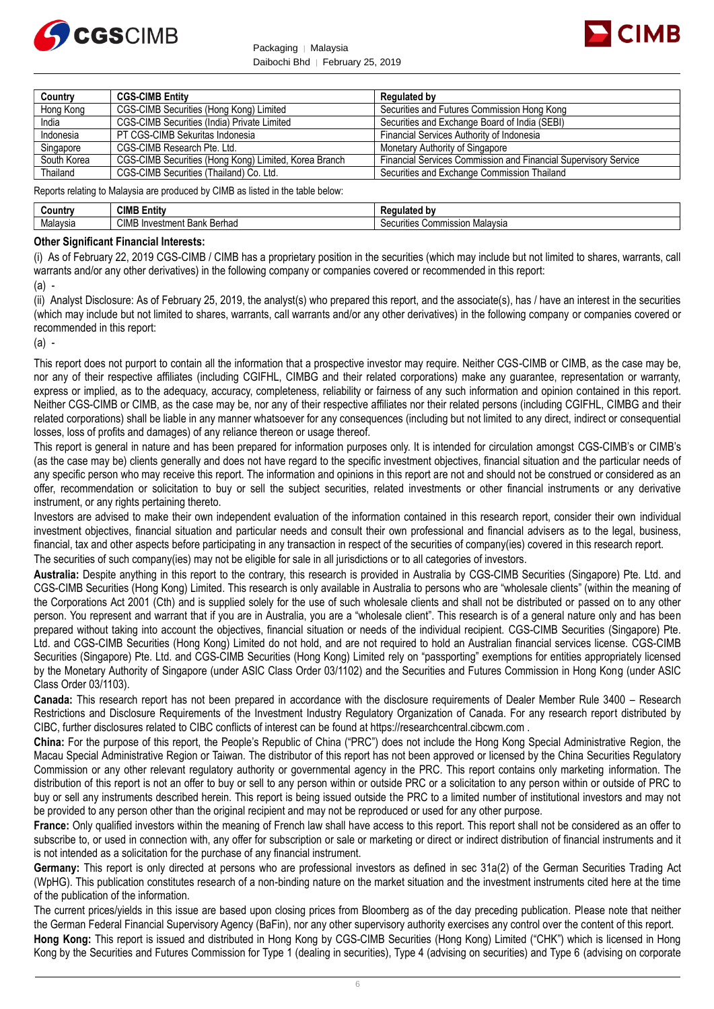



| Country     | <b>CGS-CIMB Entity</b>                                | Regulated by                                                    |
|-------------|-------------------------------------------------------|-----------------------------------------------------------------|
| Hong Kong   | CGS-CIMB Securities (Hong Kong) Limited               | Securities and Futures Commission Hong Kong                     |
| India       | CGS-CIMB Securities (India) Private Limited           | Securities and Exchange Board of India (SEBI)                   |
| Indonesia   | PT CGS-CIMB Sekuritas Indonesia                       | Financial Services Authority of Indonesia                       |
| Singapore   | CGS-CIMB Research Pte. Ltd.                           | Monetary Authority of Singapore                                 |
| South Korea | CGS-CIMB Securities (Hong Kong) Limited, Korea Branch | Financial Services Commission and Financial Supervisory Service |
| Thailand    | CGS-CIMB Securities (Thailand) Co. Ltd.               | Securities and Exchange Commission Thailand                     |

Reports relating to Malaysia are produced by CIMB as listed in the table below:

| سountr∨  | <b>CIMB EI</b><br>Entity                      | .<br>.<br>Rar<br>iulatec<br>. DV                   |
|----------|-----------------------------------------------|----------------------------------------------------|
| Malavsia | <b>CIMB</b><br>Berhad<br>. Bari<br>vestment L | $\cdots$<br>Commission<br>ı Malavsıa<br>'ecurities |

#### **Other Significant Financial Interests:**

(i) As of February 22, 2019 CGS-CIMB / CIMB has a proprietary position in the securities (which may include but not limited to shares, warrants, call warrants and/or any other derivatives) in the following company or companies covered or recommended in this report:

 $(a)$  -

(ii) Analyst Disclosure: As of February 25, 2019, the analyst(s) who prepared this report, and the associate(s), has / have an interest in the securities (which may include but not limited to shares, warrants, call warrants and/or any other derivatives) in the following company or companies covered or recommended in this report:

 $(a)$  -

This report does not purport to contain all the information that a prospective investor may require. Neither CGS-CIMB or CIMB, as the case may be, nor any of their respective affiliates (including CGIFHL, CIMBG and their related corporations) make any guarantee, representation or warranty, express or implied, as to the adequacy, accuracy, completeness, reliability or fairness of any such information and opinion contained in this report. Neither CGS-CIMB or CIMB, as the case may be, nor any of their respective affiliates nor their related persons (including CGIFHL, CIMBG and their related corporations) shall be liable in any manner whatsoever for any consequences (including but not limited to any direct, indirect or consequential losses, loss of profits and damages) of any reliance thereon or usage thereof.

This report is general in nature and has been prepared for information purposes only. It is intended for circulation amongst CGS-CIMB's or CIMB's (as the case may be) clients generally and does not have regard to the specific investment objectives, financial situation and the particular needs of any specific person who may receive this report. The information and opinions in this report are not and should not be construed or considered as an offer, recommendation or solicitation to buy or sell the subject securities, related investments or other financial instruments or any derivative instrument, or any rights pertaining thereto.

Investors are advised to make their own independent evaluation of the information contained in this research report, consider their own individual investment objectives, financial situation and particular needs and consult their own professional and financial advisers as to the legal, business, financial, tax and other aspects before participating in any transaction in respect of the securities of company(ies) covered in this research report. The securities of such company(ies) may not be eligible for sale in all jurisdictions or to all categories of investors.

**Australia:** Despite anything in this report to the contrary, this research is provided in Australia by CGS-CIMB Securities (Singapore) Pte. Ltd. and CGS-CIMB Securities (Hong Kong) Limited. This research is only available in Australia to persons who are "wholesale clients" (within the meaning of the Corporations Act 2001 (Cth) and is supplied solely for the use of such wholesale clients and shall not be distributed or passed on to any other person. You represent and warrant that if you are in Australia, you are a "wholesale client". This research is of a general nature only and has been prepared without taking into account the objectives, financial situation or needs of the individual recipient. CGS-CIMB Securities (Singapore) Pte. Ltd. and CGS-CIMB Securities (Hong Kong) Limited do not hold, and are not required to hold an Australian financial services license. CGS-CIMB Securities (Singapore) Pte. Ltd. and CGS-CIMB Securities (Hong Kong) Limited rely on "passporting" exemptions for entities appropriately licensed by the Monetary Authority of Singapore (under ASIC Class Order 03/1102) and the Securities and Futures Commission in Hong Kong (under ASIC Class Order 03/1103).

**Canada:** This research report has not been prepared in accordance with the disclosure requirements of Dealer Member Rule 3400 – Research Restrictions and Disclosure Requirements of the Investment Industry Regulatory Organization of Canada. For any research report distributed by CIBC, further disclosures related to CIBC conflicts of interest can be found at https://researchcentral.cibcwm.com .

**China:** For the purpose of this report, the People's Republic of China ("PRC") does not include the Hong Kong Special Administrative Region, the Macau Special Administrative Region or Taiwan. The distributor of this report has not been approved or licensed by the China Securities Regulatory Commission or any other relevant regulatory authority or governmental agency in the PRC. This report contains only marketing information. The distribution of this report is not an offer to buy or sell to any person within or outside PRC or a solicitation to any person within or outside of PRC to buy or sell any instruments described herein. This report is being issued outside the PRC to a limited number of institutional investors and may not be provided to any person other than the original recipient and may not be reproduced or used for any other purpose.

**France:** Only qualified investors within the meaning of French law shall have access to this report. This report shall not be considered as an offer to subscribe to, or used in connection with, any offer for subscription or sale or marketing or direct or indirect distribution of financial instruments and it is not intended as a solicitation for the purchase of any financial instrument.

**Germany:** This report is only directed at persons who are professional investors as defined in sec 31a(2) of the German Securities Trading Act (WpHG). This publication constitutes research of a non-binding nature on the market situation and the investment instruments cited here at the time of the publication of the information.

The current prices/yields in this issue are based upon closing prices from Bloomberg as of the day preceding publication. Please note that neither the German Federal Financial Supervisory Agency (BaFin), nor any other supervisory authority exercises any control over the content of this report. **Hong Kong:** This report is issued and distributed in Hong Kong by CGS-CIMB Securities (Hong Kong) Limited ("CHK") which is licensed in Hong Kong by the Securities and Futures Commission for Type 1 (dealing in securities). Type 4 (advising on securities) and Type 6 (advising on corporate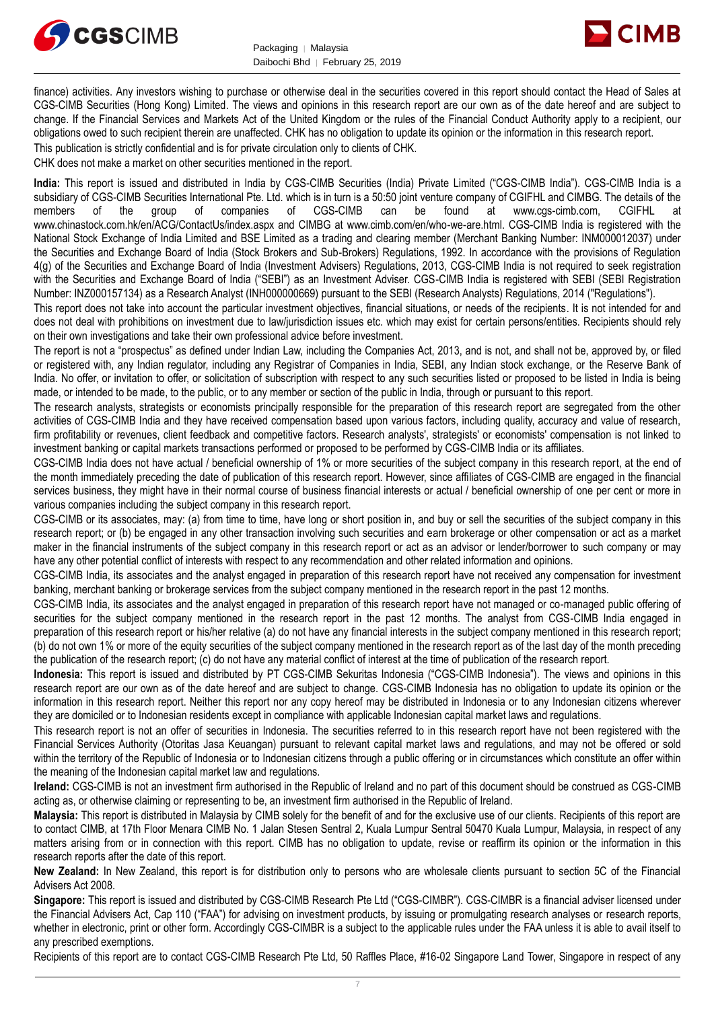



finance) activities. Any investors wishing to purchase or otherwise deal in the securities covered in this report should contact the Head of Sales at CGS-CIMB Securities (Hong Kong) Limited. The views and opinions in this research report are our own as of the date hereof and are subject to change. If the Financial Services and Markets Act of the United Kingdom or the rules of the Financial Conduct Authority apply to a recipient, our obligations owed to such recipient therein are unaffected. CHK has no obligation to update its opinion or the information in this research report. This publication is strictly confidential and is for private circulation only to clients of CHK.

CHK does not make a market on other securities mentioned in the report.

**India:** This report is issued and distributed in India by CGS-CIMB Securities (India) Private Limited ("CGS-CIMB India"). CGS-CIMB India is a subsidiary of CGS-CIMB Securities International Pte. Ltd. which is in turn is a 50:50 joint venture company of CGIFHL and CIMBG. The details of the members of the group of companies of CGS-CIMB can be found at www.cgs-cimb.com, CGIFHL at www.chinastock.com.hk/en/ACG/ContactUs/index.aspx and CIMBG at www.cimb.com/en/who-we-are.html. CGS-CIMB India is registered with the National Stock Exchange of India Limited and BSE Limited as a trading and clearing member (Merchant Banking Number: INM000012037) under the Securities and Exchange Board of India (Stock Brokers and Sub-Brokers) Regulations, 1992. In accordance with the provisions of Regulation 4(g) of the Securities and Exchange Board of India (Investment Advisers) Regulations, 2013, CGS-CIMB India is not required to seek registration with the Securities and Exchange Board of India ("SEBI") as an Investment Adviser. CGS-CIMB India is registered with SEBI (SEBI Registration Number: INZ000157134) as a Research Analyst (INH000000669) pursuant to the SEBI (Research Analysts) Regulations, 2014 ("Regulations").

This report does not take into account the particular investment objectives, financial situations, or needs of the recipients. It is not intended for and does not deal with prohibitions on investment due to law/jurisdiction issues etc. which may exist for certain persons/entities. Recipients should rely on their own investigations and take their own professional advice before investment.

The report is not a "prospectus" as defined under Indian Law, including the Companies Act, 2013, and is not, and shall not be, approved by, or filed or registered with, any Indian regulator, including any Registrar of Companies in India, SEBI, any Indian stock exchange, or the Reserve Bank of India. No offer, or invitation to offer, or solicitation of subscription with respect to any such securities listed or proposed to be listed in India is being made, or intended to be made, to the public, or to any member or section of the public in India, through or pursuant to this report.

The research analysts, strategists or economists principally responsible for the preparation of this research report are segregated from the other activities of CGS-CIMB India and they have received compensation based upon various factors, including quality, accuracy and value of research, firm profitability or revenues, client feedback and competitive factors. Research analysts', strategists' or economists' compensation is not linked to investment banking or capital markets transactions performed or proposed to be performed by CGS-CIMB India or its affiliates.

CGS-CIMB India does not have actual / beneficial ownership of 1% or more securities of the subject company in this research report, at the end of the month immediately preceding the date of publication of this research report. However, since affiliates of CGS-CIMB are engaged in the financial services business, they might have in their normal course of business financial interests or actual / beneficial ownership of one per cent or more in various companies including the subject company in this research report.

CGS-CIMB or its associates, may: (a) from time to time, have long or short position in, and buy or sell the securities of the subject company in this research report; or (b) be engaged in any other transaction involving such securities and earn brokerage or other compensation or act as a market maker in the financial instruments of the subject company in this research report or act as an advisor or lender/borrower to such company or may have any other potential conflict of interests with respect to any recommendation and other related information and opinions.

CGS-CIMB India, its associates and the analyst engaged in preparation of this research report have not received any compensation for investment banking, merchant banking or brokerage services from the subject company mentioned in the research report in the past 12 months.

CGS-CIMB India, its associates and the analyst engaged in preparation of this research report have not managed or co-managed public offering of securities for the subject company mentioned in the research report in the past 12 months. The analyst from CGS-CIMB India engaged in preparation of this research report or his/her relative (a) do not have any financial interests in the subject company mentioned in this research report; (b) do not own 1% or more of the equity securities of the subject company mentioned in the research report as of the last day of the month preceding the publication of the research report; (c) do not have any material conflict of interest at the time of publication of the research report.

**Indonesia:** This report is issued and distributed by PT CGS-CIMB Sekuritas Indonesia ("CGS-CIMB Indonesia"). The views and opinions in this research report are our own as of the date hereof and are subject to change. CGS-CIMB Indonesia has no obligation to update its opinion or the information in this research report. Neither this report nor any copy hereof may be distributed in Indonesia or to any Indonesian citizens wherever they are domiciled or to Indonesian residents except in compliance with applicable Indonesian capital market laws and regulations.

This research report is not an offer of securities in Indonesia. The securities referred to in this research report have not been registered with the Financial Services Authority (Otoritas Jasa Keuangan) pursuant to relevant capital market laws and regulations, and may not be offered or sold within the territory of the Republic of Indonesia or to Indonesian citizens through a public offering or in circumstances which constitute an offer within the meaning of the Indonesian capital market law and regulations.

**Ireland:** CGS-CIMB is not an investment firm authorised in the Republic of Ireland and no part of this document should be construed as CGS-CIMB acting as, or otherwise claiming or representing to be, an investment firm authorised in the Republic of Ireland.

**Malaysia:** This report is distributed in Malaysia by CIMB solely for the benefit of and for the exclusive use of our clients. Recipients of this report are to contact CIMB, at 17th Floor Menara CIMB No. 1 Jalan Stesen Sentral 2, Kuala Lumpur Sentral 50470 Kuala Lumpur, Malaysia, in respect of any matters arising from or in connection with this report. CIMB has no obligation to update, revise or reaffirm its opinion or the information in this research reports after the date of this report.

**New Zealand:** In New Zealand, this report is for distribution only to persons who are wholesale clients pursuant to section 5C of the Financial Advisers Act 2008.

**Singapore:** This report is issued and distributed by CGS-CIMB Research Pte Ltd ("CGS-CIMBR"). CGS-CIMBR is a financial adviser licensed under the Financial Advisers Act, Cap 110 ("FAA") for advising on investment products, by issuing or promulgating research analyses or research reports, whether in electronic, print or other form. Accordingly CGS-CIMBR is a subject to the applicable rules under the FAA unless it is able to avail itself to any prescribed exemptions.

Recipients of this report are to contact CGS-CIMB Research Pte Ltd, 50 Raffles Place, #16-02 Singapore Land Tower, Singapore in respect of any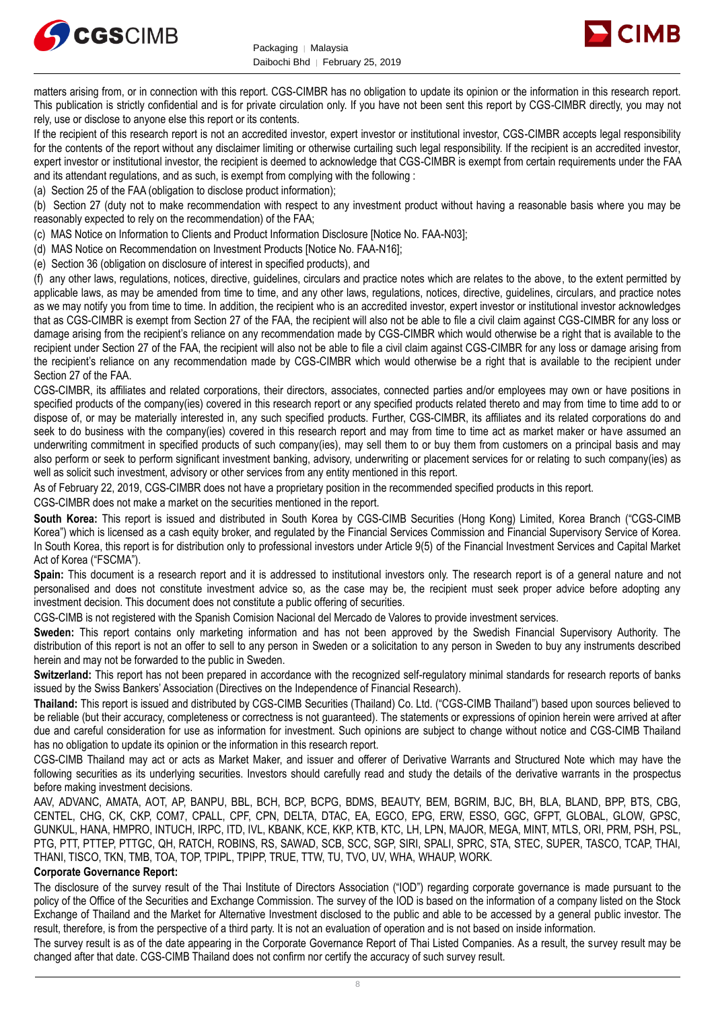



matters arising from, or in connection with this report. CGS-CIMBR has no obligation to update its opinion or the information in this research report. This publication is strictly confidential and is for private circulation only. If you have not been sent this report by CGS-CIMBR directly, you may not rely, use or disclose to anyone else this report or its contents.

If the recipient of this research report is not an accredited investor, expert investor or institutional investor, CGS-CIMBR accepts legal responsibility for the contents of the report without any disclaimer limiting or otherwise curtailing such legal responsibility. If the recipient is an accredited investor. expert investor or institutional investor, the recipient is deemed to acknowledge that CGS-CIMBR is exempt from certain requirements under the FAA and its attendant regulations, and as such, is exempt from complying with the following :

(a) Section 25 of the FAA (obligation to disclose product information);

(b) Section 27 (duty not to make recommendation with respect to any investment product without having a reasonable basis where you may be reasonably expected to rely on the recommendation) of the FAA;

(c) MAS Notice on Information to Clients and Product Information Disclosure [Notice No. FAA-N03];

(d) MAS Notice on Recommendation on Investment Products [Notice No. FAA-N16];

(e) Section 36 (obligation on disclosure of interest in specified products), and

(f) any other laws, regulations, notices, directive, guidelines, circulars and practice notes which are relates to the above, to the extent permitted by applicable laws, as may be amended from time to time, and any other laws, regulations, notices, directive, guidelines, circulars, and practice notes as we may notify you from time to time. In addition, the recipient who is an accredited investor, expert investor or institutional investor acknowledges that as CGS-CIMBR is exempt from Section 27 of the FAA, the recipient will also not be able to file a civil claim against CGS-CIMBR for any loss or damage arising from the recipient's reliance on any recommendation made by CGS-CIMBR which would otherwise be a right that is available to the recipient under Section 27 of the FAA, the recipient will also not be able to file a civil claim against CGS-CIMBR for any loss or damage arising from the recipient's reliance on any recommendation made by CGS-CIMBR which would otherwise be a right that is available to the recipient under Section 27 of the FAA.

CGS-CIMBR, its affiliates and related corporations, their directors, associates, connected parties and/or employees may own or have positions in specified products of the company(ies) covered in this research report or any specified products related thereto and may from time to time add to or dispose of, or may be materially interested in, any such specified products. Further, CGS-CIMBR, its affiliates and its related corporations do and seek to do business with the company(ies) covered in this research report and may from time to time act as market maker or have assumed an underwriting commitment in specified products of such company(ies), may sell them to or buy them from customers on a principal basis and may also perform or seek to perform significant investment banking, advisory, underwriting or placement services for or relating to such company(ies) as well as solicit such investment, advisory or other services from any entity mentioned in this report.

As of February 22, 2019, CGS-CIMBR does not have a proprietary position in the recommended specified products in this report.

CGS-CIMBR does not make a market on the securities mentioned in the report.

**South Korea:** This report is issued and distributed in South Korea by CGS-CIMB Securities (Hong Kong) Limited, Korea Branch ("CGS-CIMB Korea") which is licensed as a cash equity broker, and regulated by the Financial Services Commission and Financial Supervisory Service of Korea. In South Korea, this report is for distribution only to professional investors under Article 9(5) of the Financial Investment Services and Capital Market Act of Korea ("FSCMA").

**Spain:** This document is a research report and it is addressed to institutional investors only. The research report is of a general nature and not personalised and does not constitute investment advice so, as the case may be, the recipient must seek proper advice before adopting any investment decision. This document does not constitute a public offering of securities.

CGS-CIMB is not registered with the Spanish Comision Nacional del Mercado de Valores to provide investment services.

**Sweden:** This report contains only marketing information and has not been approved by the Swedish Financial Supervisory Authority. The distribution of this report is not an offer to sell to any person in Sweden or a solicitation to any person in Sweden to buy any instruments described herein and may not be forwarded to the public in Sweden.

**Switzerland:** This report has not been prepared in accordance with the recognized self-regulatory minimal standards for research reports of banks issued by the Swiss Bankers' Association (Directives on the Independence of Financial Research).

**Thailand:** This report is issued and distributed by CGS-CIMB Securities (Thailand) Co. Ltd. ("CGS-CIMB Thailand") based upon sources believed to be reliable (but their accuracy, completeness or correctness is not guaranteed). The statements or expressions of opinion herein were arrived at after due and careful consideration for use as information for investment. Such opinions are subject to change without notice and CGS-CIMB Thailand has no obligation to update its opinion or the information in this research report.

CGS-CIMB Thailand may act or acts as Market Maker, and issuer and offerer of Derivative Warrants and Structured Note which may have the following securities as its underlying securities. Investors should carefully read and study the details of the derivative warrants in the prospectus before making investment decisions.

AAV, ADVANC, AMATA, AOT, AP, BANPU, BBL, BCH, BCP, BCPG, BDMS, BEAUTY, BEM, BGRIM, BJC, BH, BLA, BLAND, BPP, BTS, CBG, CENTEL, CHG, CK, CKP, COM7, CPALL, CPF, CPN, DELTA, DTAC, EA, EGCO, EPG, ERW, ESSO, GGC, GFPT, GLOBAL, GLOW, GPSC, GUNKUL, HANA, HMPRO, INTUCH, IRPC, ITD, IVL, KBANK, KCE, KKP, KTB, KTC, LH, LPN, MAJOR, MEGA, MINT, MTLS, ORI, PRM, PSH, PSL, PTG, PTT, PTTEP, PTTGC, QH, RATCH, ROBINS, RS, SAWAD, SCB, SCC, SGP, SIRI, SPALI, SPRC, STA, STEC, SUPER, TASCO, TCAP, THAI, THANI, TISCO, TKN, TMB, TOA, TOP, TPIPL, TPIPP, TRUE, TTW, TU, TVO, UV, WHA, WHAUP, WORK.

#### **Corporate Governance Report:**

The disclosure of the survey result of the Thai Institute of Directors Association ("IOD") regarding corporate governance is made pursuant to the policy of the Office of the Securities and Exchange Commission. The survey of the IOD is based on the information of a company listed on the Stock Exchange of Thailand and the Market for Alternative Investment disclosed to the public and able to be accessed by a general public investor. The result, therefore, is from the perspective of a third party. It is not an evaluation of operation and is not based on inside information.

The survey result is as of the date appearing in the Corporate Governance Report of Thai Listed Companies. As a result, the survey result may be changed after that date. CGS-CIMB Thailand does not confirm nor certify the accuracy of such survey result.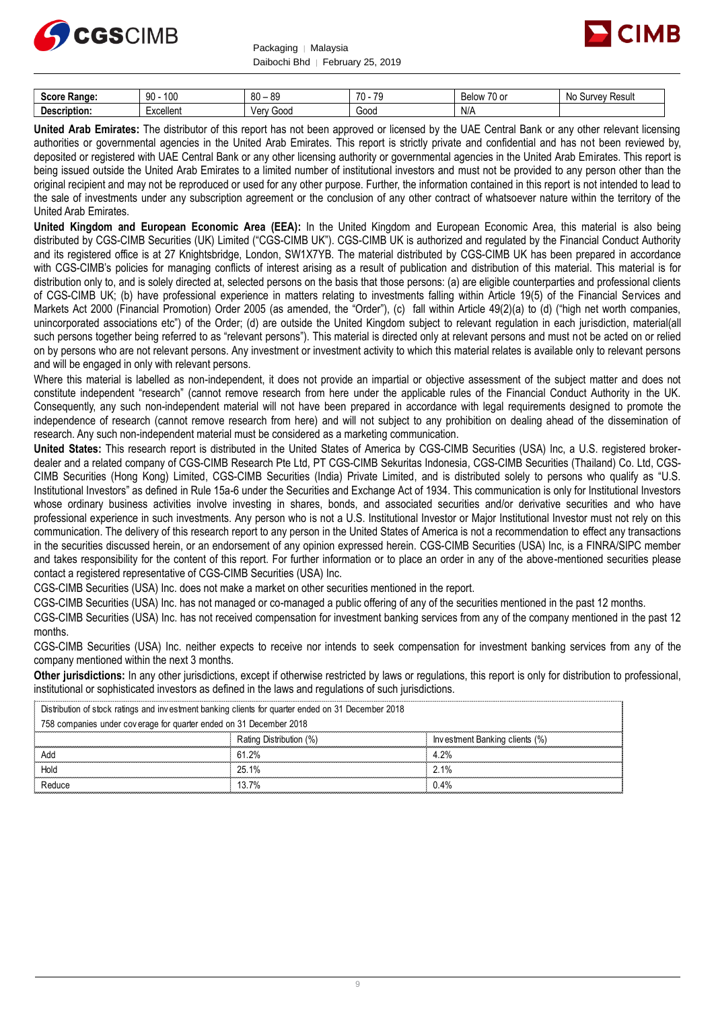



| 0.000<br><b>Range:</b><br>יטטכ | 100<br>۵n<br>JU | 80<br><b>RO</b><br>ິບບ | $\overline{z}$<br>$-1$<br>. . | --<br><b>HALL</b><br>$\sim$<br>∵ '' '' 'اا <del>ت</del> ∼<br>ັບ | Resul.<br><b>N<sub>C</sub></b><br>.∍⊔rve'<br>$\sim$ |
|--------------------------------|-----------------|------------------------|-------------------------------|-----------------------------------------------------------------|-----------------------------------------------------|
| .<br>۵۵۰.<br>eription.         | vceller.        | 000ز<br>Ven            | Good                          | N/A                                                             |                                                     |

**United Arab Emirates:** The distributor of this report has not been approved or licensed by the UAE Central Bank or any other relevant licensing authorities or governmental agencies in the United Arab Emirates. This report is strictly private and confidential and has not been reviewed by, deposited or registered with UAE Central Bank or any other licensing authority or governmental agencies in the United Arab Emirates. This report is being issued outside the United Arab Emirates to a limited number of institutional investors and must not be provided to any person other than the original recipient and may not be reproduced or used for any other purpose. Further, the information contained in this report is not intended to lead to the sale of investments under any subscription agreement or the conclusion of any other contract of whatsoever nature within the territory of the United Arab Emirates.

**United Kingdom and European Economic Area (EEA):** In the United Kingdom and European Economic Area, this material is also being distributed by CGS-CIMB Securities (UK) Limited ("CGS-CIMB UK"). CGS-CIMB UK is authorized and regulated by the Financial Conduct Authority and its registered office is at 27 Knightsbridge, London, SW1X7YB. The material distributed by CGS-CIMB UK has been prepared in accordance with CGS-CIMB's policies for managing conflicts of interest arising as a result of publication and distribution of this material. This material is for distribution only to, and is solely directed at, selected persons on the basis that those persons: (a) are eligible counterparties and professional clients of CGS-CIMB UK; (b) have professional experience in matters relating to investments falling within Article 19(5) of the Financial Services and Markets Act 2000 (Financial Promotion) Order 2005 (as amended, the "Order"), (c) fall within Article 49(2)(a) to (d) ("high net worth companies, unincorporated associations etc") of the Order; (d) are outside the United Kingdom subject to relevant regulation in each jurisdiction, material(all such persons together being referred to as "relevant persons"). This material is directed only at relevant persons and must not be acted on or relied on by persons who are not relevant persons. Any investment or investment activity to which this material relates is available only to relevant persons and will be engaged in only with relevant persons.

Where this material is labelled as non-independent, it does not provide an impartial or objective assessment of the subject matter and does not constitute independent "research" (cannot remove research from here under the applicable rules of the Financial Conduct Authority in the UK. Consequently, any such non-independent material will not have been prepared in accordance with legal requirements designed to promote the independence of research (cannot remove research from here) and will not subject to any prohibition on dealing ahead of the dissemination of research. Any such non-independent material must be considered as a marketing communication.

**United States:** This research report is distributed in the United States of America by CGS-CIMB Securities (USA) Inc, a U.S. registered brokerdealer and a related company of CGS-CIMB Research Pte Ltd, PT CGS-CIMB Sekuritas Indonesia, CGS-CIMB Securities (Thailand) Co. Ltd, CGS-CIMB Securities (Hong Kong) Limited, CGS-CIMB Securities (India) Private Limited, and is distributed solely to persons who qualify as "U.S. Institutional Investors" as defined in Rule 15a-6 under the Securities and Exchange Act of 1934. This communication is only for Institutional Investors whose ordinary business activities involve investing in shares, bonds, and associated securities and/or derivative securities and who have professional experience in such investments. Any person who is not a U.S. Institutional Investor or Major Institutional Investor must not rely on this communication. The delivery of this research report to any person in the United States of America is not a recommendation to effect any transactions in the securities discussed herein, or an endorsement of any opinion expressed herein. CGS-CIMB Securities (USA) Inc, is a FINRA/SIPC member and takes responsibility for the content of this report. For further information or to place an order in any of the above-mentioned securities please contact a registered representative of CGS-CIMB Securities (USA) Inc.

CGS-CIMB Securities (USA) Inc. does not make a market on other securities mentioned in the report.

CGS-CIMB Securities (USA) Inc. has not managed or co-managed a public offering of any of the securities mentioned in the past 12 months.

CGS-CIMB Securities (USA) Inc. has not received compensation for investment banking services from any of the company mentioned in the past 12 months.

CGS-CIMB Securities (USA) Inc. neither expects to receive nor intends to seek compensation for investment banking services from any of the company mentioned within the next 3 months.

**Other jurisdictions:** In any other jurisdictions, except if otherwise restricted by laws or regulations, this report is only for distribution to professional, institutional or sophisticated investors as defined in the laws and regulations of such jurisdictions. being the purisdictions: In any other jurisdictions, except if otherwise restricted by laws<br>stitutional or sophisticated investors as defined in the laws and regulations of such j<br>Distribution of stock ratings and investme

| <b>Other jurisdictions:</b> In any other jurisdictions, except if otherwise restricted by laws or regulations, this report is only for distribution to<br>institutional or sophisticated investors as defined in the laws and regulations of such jurisdictions. |                         |                                |  |
|------------------------------------------------------------------------------------------------------------------------------------------------------------------------------------------------------------------------------------------------------------------|-------------------------|--------------------------------|--|
| Distribution of stock ratings and investment banking clients for quarter ended on 31 December 2018                                                                                                                                                               |                         |                                |  |
| 758 companies under coverage for quarter ended on 31 December 2018                                                                                                                                                                                               |                         |                                |  |
|                                                                                                                                                                                                                                                                  | Rating Distribution (%) | Investment Banking clients (%) |  |
| Add                                                                                                                                                                                                                                                              | 61.2%                   | 4.2%                           |  |
| Hold                                                                                                                                                                                                                                                             | 25.1%                   | 2.1%                           |  |
| Reduce                                                                                                                                                                                                                                                           | 13.7%                   | 0.4%                           |  |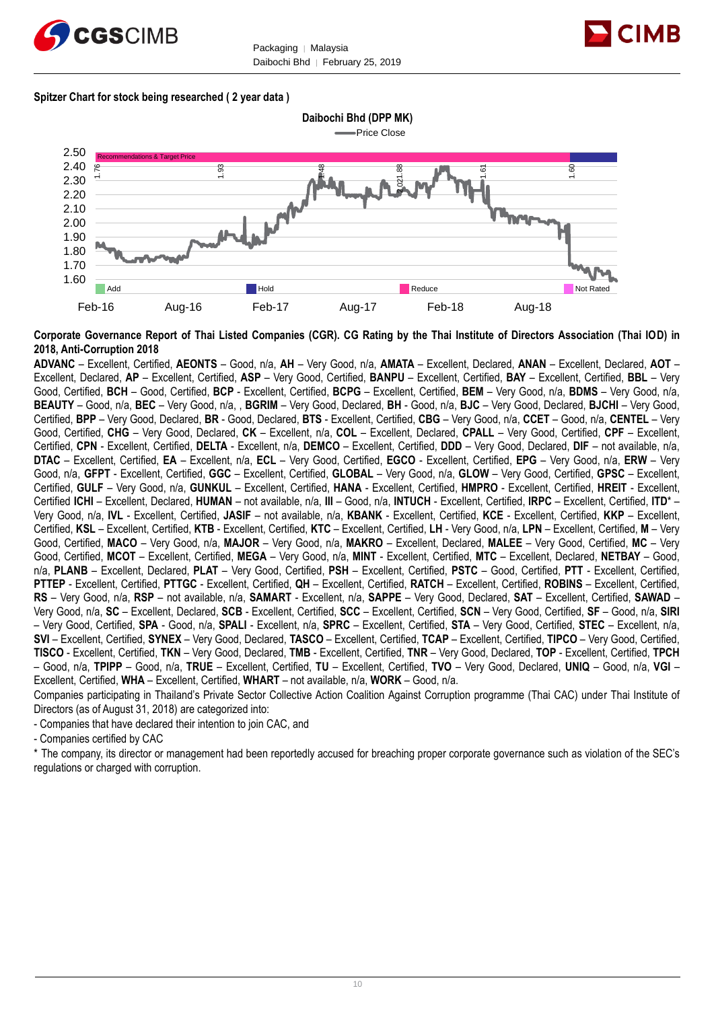



#### **Spitzer Chart for stock being researched ( 2 year data )**

**Daibochi Bhd (DPP MK)** Price Close



**Corporate Governance Report of Thai Listed Companies (CGR). CG Rating by the Thai Institute of Directors Association (Thai IOD) in 2018, Anti-Corruption 2018**

**ADVANC** – Excellent, Certified, **AEONTS** – Good, n/a, **AH** – Very Good, n/a, **AMATA** – Excellent, Declared, **ANAN** – Excellent, Declared, **AOT** – Excellent, Declared, **AP** – Excellent, Certified, **ASP** – Very Good, Certified, **BANPU** – Excellent, Certified, **BAY** – Excellent, Certified, **BBL** – Very Good, Certified, **BCH** – Good, Certified, **BCP** - Excellent, Certified, **BCPG** – Excellent, Certified, **BEM** – Very Good, n/a, **BDMS** – Very Good, n/a, **BEAUTY** – Good, n/a, **BEC** – Very Good, n/a, , **BGRIM** – Very Good, Declared, **BH** - Good, n/a, **BJC** – Very Good, Declared, **BJCHI** – Very Good, Certified, **BPP** – Very Good, Declared, **BR** - Good, Declared, **BTS** - Excellent, Certified, **CBG** – Very Good, n/a, **CCET** – Good, n/a, **CENTEL** – Very Good, Certified, **CHG** – Very Good, Declared, **CK** – Excellent, n/a, **COL** – Excellent, Declared, **CPALL** – Very Good, Certified, **CPF** – Excellent, Certified, **CPN** - Excellent, Certified, **DELTA** - Excellent, n/a, **DEMCO** – Excellent, Certified, **DDD** – Very Good, Declared, **DIF** – not available, n/a, **DTAC** – Excellent, Certified, **EA** – Excellent, n/a, **ECL** – Very Good, Certified, **EGCO** - Excellent, Certified, **EPG** – Very Good, n/a, **ERW** – Very Good, n/a, **GFPT** - Excellent, Certified, **GGC** – Excellent, Certified, **GLOBAL** – Very Good, n/a, **GLOW** – Very Good, Certified, **GPSC** – Excellent, Certified, **GULF** – Very Good, n/a, **GUNKUL** – Excellent, Certified, **HANA** - Excellent, Certified, **HMPRO** - Excellent, Certified, **HREIT** - Excellent, Certified **ICHI** – Excellent, Declared, **HUMAN** – not available, n/a, **III** – Good, n/a, **INTUCH** - Excellent, Certified, **IRPC** – Excellent, Certified, **ITD**\* – Very Good, n/a, **IVL** - Excellent, Certified, **JASIF** – not available, n/a, **KBANK** - Excellent, Certified, **KCE** - Excellent, Certified, **KKP** – Excellent, Certified, **KSL** – Excellent, Certified, **KTB** - Excellent, Certified, **KTC** – Excellent, Certified, **LH** - Very Good, n/a, **LPN** – Excellent, Certified, **M** – Very Good, Certified, **MACO** – Very Good, n/a, **MAJOR** – Very Good, n/a, **MAKRO** – Excellent, Declared, **MALEE** – Very Good, Certified, **MC** – Very Good, Certified, **MCOT** – Excellent, Certified, **MEGA** – Very Good, n/a, **MINT** - Excellent, Certified, **MTC** – Excellent, Declared, **NETBAY** – Good, n/a, **PLANB** – Excellent, Declared, **PLAT** – Very Good, Certified, **PSH** – Excellent, Certified, **PSTC** – Good, Certified, **PTT** - Excellent, Certified, **PTTEP** - Excellent, Certified, **PTTGC** - Excellent, Certified, **QH** – Excellent, Certified, **RATCH** – Excellent, Certified, **ROBINS** – Excellent, Certified, **RS** – Very Good, n/a, **RSP** – not available, n/a, **SAMART** - Excellent, n/a, **SAPPE** – Very Good, Declared, **SAT** – Excellent, Certified, **SAWAD** – Very Good, n/a, **SC** – Excellent, Declared, **SCB** - Excellent, Certified, **SCC** – Excellent, Certified, **SCN** – Very Good, Certified, **SF** – Good, n/a, **SIRI** – Very Good, Certified, **SPA** - Good, n/a, **SPALI** - Excellent, n/a, **SPRC** – Excellent, Certified, **STA** – Very Good, Certified, **STEC** – Excellent, n/a, **SVI** – Excellent, Certified, **SYNEX** – Very Good, Declared, **TASCO** – Excellent, Certified, **TCAP** – Excellent, Certified, **TIPCO** – Very Good, Certified, **TISCO** - Excellent, Certified, **TKN** – Very Good, Declared, **TMB** - Excellent, Certified, **TNR** – Very Good, Declared, **TOP** - Excellent, Certified, **TPCH** – Good, n/a, **TPIPP** – Good, n/a, **TRUE** – Excellent, Certified, **TU** – Excellent, Certified, **TVO** – Very Good, Declared, **UNIQ** – Good, n/a, **VGI** – Excellent, Certified, **WHA** – Excellent, Certified, **WHART** – not available, n/a, **WORK** – Good, n/a.

Companies participating in Thailand's Private Sector Collective Action Coalition Against Corruption programme (Thai CAC) under Thai Institute of Directors (as of August 31, 2018) are categorized into:

- Companies that have declared their intention to join CAC, and

- Companies certified by CAC

\* The company, its director or management had been reportedly accused for breaching proper corporate governance such as violation of the SEC's regulations or charged with corruption.